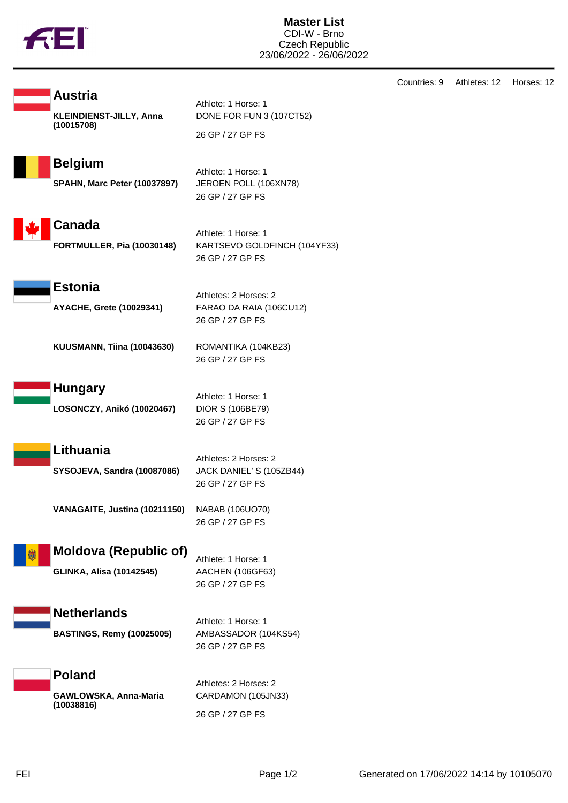

| Countries: 9 | Athletes: 12 | Horses: 12 |
|--------------|--------------|------------|
|--------------|--------------|------------|

| <b>KLEINDIENST-JILLY, Anna</b> |  |
|--------------------------------|--|
| (10015708)                     |  |
|                                |  |

Athlete: 1 Horse: 1 DONE FOR FUN 3 (107CT52) 26 GP / 27 GP FS

**Belgium** Athlete: 1 Horse: 1

**Austria**

**SPAHN, Marc Peter (10037897)** JEROEN POLL (106XN78)

26 GP / 27 GP FS



Athlete: 1 Horse: 1 **FORTMULLER, Pia (10030148)** KARTSEVO GOLDFINCH (104YF33) 26 GP / 27 GP FS

**Estonia**

Athletes: 2 Horses: 2 **AYACHE, Grete (10029341)** FARAO DA RAIA (106CU12) 26 GP / 27 GP FS

**KUUSMANN, Tiina (10043630)** ROMANTIKA (104KB23)

**Hungary**

**LOSONCZY, Anikó (10020467)** DIOR S (106BE79)

Athlete: 1 Horse: 1 26 GP / 27 GP FS

26 GP / 27 GP FS

**Lithuania**

**SYSOJEVA, Sandra (10087086)** JACK DANIEL' S (105ZB44)

Athletes: 2 Horses: 2 26 GP / 27 GP FS

**VANAGAITE, Justina (10211150)** NABAB (106UO70) 26 GP / 27 GP FS

## **Moldova (Republic of)**

**GLINKA, Alisa (10142545)** AACHEN (106GF63)

Athlete: 1 Horse: 1 26 GP / 27 GP FS

**Netherlands**

**BASTINGS, Remy (10025005)** AMBASSADOR (104KS54)

Athlete: 1 Horse: 1 26 GP / 27 GP FS

**Poland GAWLOWSKA, Anna-Maria (10038816)**

Athletes: 2 Horses: 2 CARDAMON (105JN33) 26 GP / 27 GP FS